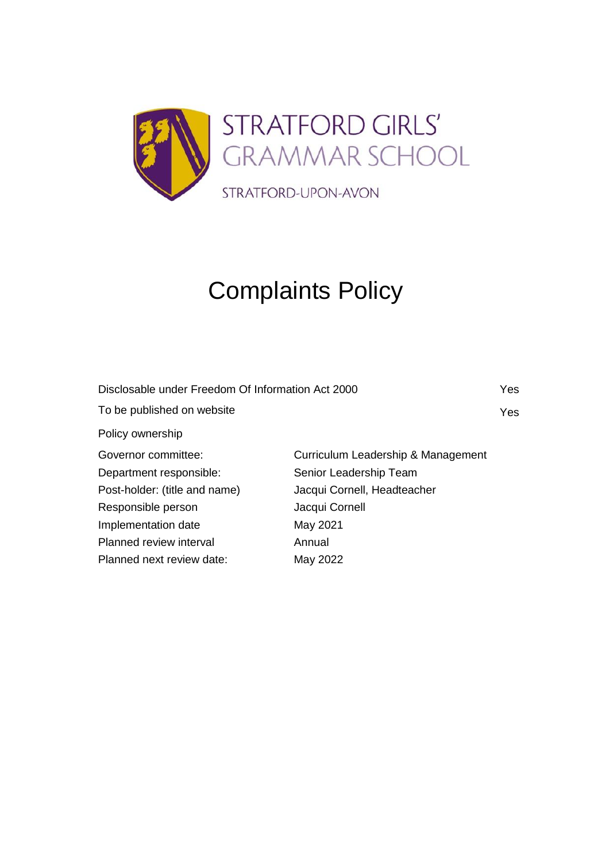

# Complaints Policy

| Disclosable under Freedom Of Information Act 2000 |                                    | Yes        |
|---------------------------------------------------|------------------------------------|------------|
| To be published on website                        |                                    | <b>Yes</b> |
| Policy ownership                                  |                                    |            |
| Governor committee:                               | Curriculum Leadership & Management |            |
| Department responsible:                           | Senior Leadership Team             |            |
| Post-holder: (title and name)                     | Jacqui Cornell, Headteacher        |            |
| Responsible person                                | Jacqui Cornell                     |            |
| Implementation date                               | May 2021                           |            |
| Planned review interval                           | Annual                             |            |
| Planned next review date:                         | May 2022                           |            |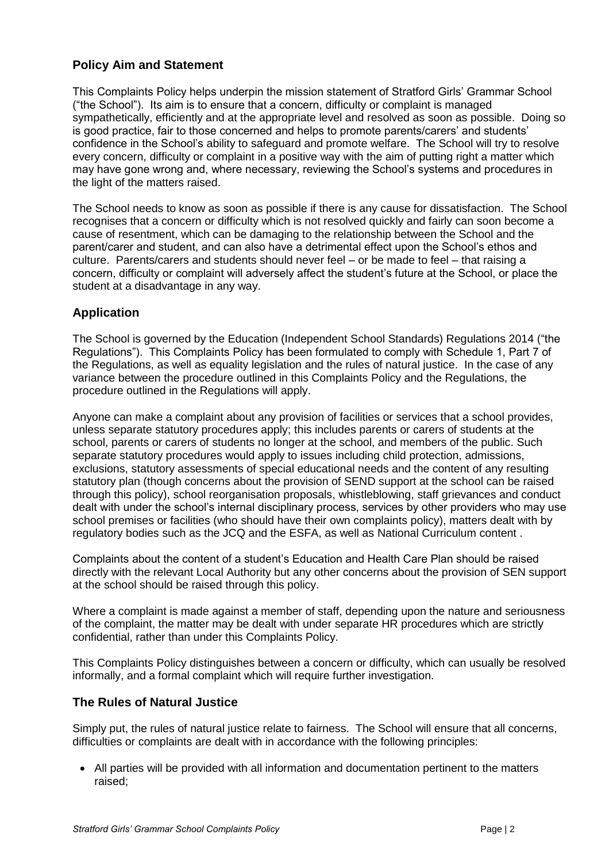### **Policy Aim and Statement**

This Complaints Policy helps underpin the mission statement of Stratford Girls' Grammar School ("the School"). Its aim is to ensure that a concern, difficulty or complaint is managed sympathetically, efficiently and at the appropriate level and resolved as soon as possible. Doing so is good practice, fair to those concerned and helps to promote parents/carers' and students' confidence in the School's ability to safeguard and promote welfare. The School will try to resolve every concern, difficulty or complaint in a positive way with the aim of putting right a matter which may have gone wrong and, where necessary, reviewing the School's systems and procedures in the light of the matters raised.

The School needs to know as soon as possible if there is any cause for dissatisfaction. The School recognises that a concern or difficulty which is not resolved quickly and fairly can soon become a cause of resentment, which can be damaging to the relationship between the School and the parent/carer and student, and can also have a detrimental effect upon the School's ethos and culture. Parents/carers and students should never feel – or be made to feel – that raising a concern, difficulty or complaint will adversely affect the student's future at the School, or place the student at a disadvantage in any way.

### **Application**

The School is governed by the Education (Independent School Standards) Regulations 2014 ("the Regulations"). This Complaints Policy has been formulated to comply with Schedule 1, Part 7 of the Regulations, as well as equality legislation and the rules of natural justice. In the case of any variance between the procedure outlined in this Complaints Policy and the Regulations, the procedure outlined in the Regulations will apply.

Anyone can make a complaint about any provision of facilities or services that a school provides, unless separate statutory procedures apply; this includes parents or carers of students at the school, parents or carers of students no longer at the school, and members of the public. Such separate statutory procedures would apply to issues including child protection, admissions, exclusions, statutory assessments of special educational needs and the content of any resulting statutory plan (though concerns about the provision of SEND support at the school can be raised through this policy), school reorganisation proposals, whistleblowing, staff grievances and conduct dealt with under the school's internal disciplinary process, services by other providers who may use school premises or facilities (who should have their own complaints policy), matters dealt with by regulatory bodies such as the JCQ and the ESFA, as well as National Curriculum content .

Complaints about the content of a student's Education and Health Care Plan should be raised directly with the relevant Local Authority but any other concerns about the provision of SEN support at the school should be raised through this policy.

Where a complaint is made against a member of staff, depending upon the nature and seriousness of the complaint, the matter may be dealt with under separate HR procedures which are strictly confidential, rather than under this Complaints Policy.

This Complaints Policy distinguishes between a concern or difficulty, which can usually be resolved informally, and a formal complaint which will require further investigation.

### **The Rules of Natural Justice**

Simply put, the rules of natural justice relate to fairness. The School will ensure that all concerns, difficulties or complaints are dealt with in accordance with the following principles:

• All parties will be provided with all information and documentation pertinent to the matters raised;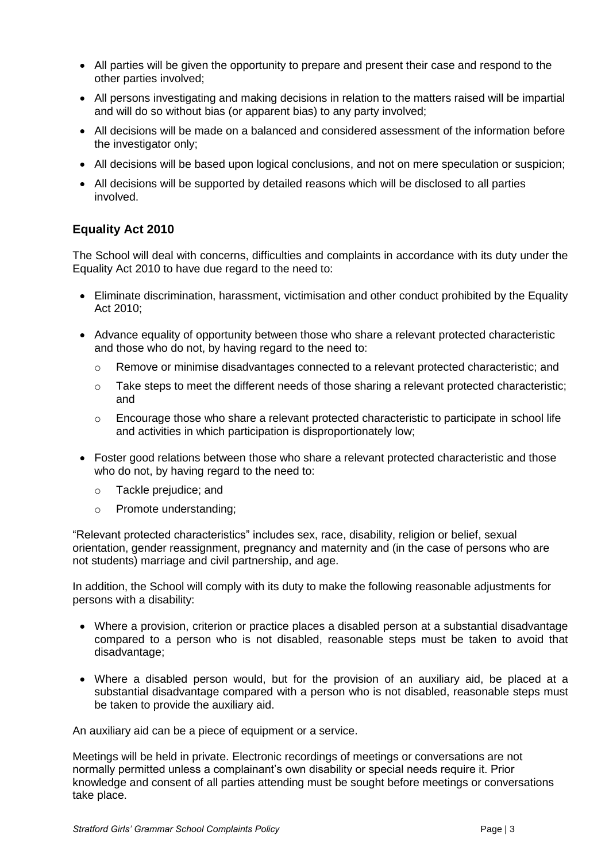- All parties will be given the opportunity to prepare and present their case and respond to the other parties involved;
- All persons investigating and making decisions in relation to the matters raised will be impartial and will do so without bias (or apparent bias) to any party involved;
- All decisions will be made on a balanced and considered assessment of the information before the investigator only;
- All decisions will be based upon logical conclusions, and not on mere speculation or suspicion;
- All decisions will be supported by detailed reasons which will be disclosed to all parties involved.

### **Equality Act 2010**

The School will deal with concerns, difficulties and complaints in accordance with its duty under the Equality Act 2010 to have due regard to the need to:

- Eliminate discrimination, harassment, victimisation and other conduct prohibited by the Equality Act 2010;
- Advance equality of opportunity between those who share a relevant protected characteristic and those who do not, by having regard to the need to:
	- o Remove or minimise disadvantages connected to a relevant protected characteristic; and
	- o Take steps to meet the different needs of those sharing a relevant protected characteristic; and
	- $\circ$  Encourage those who share a relevant protected characteristic to participate in school life and activities in which participation is disproportionately low;
- Foster good relations between those who share a relevant protected characteristic and those who do not, by having regard to the need to:
	- o Tackle prejudice; and
	- o Promote understanding;

"Relevant protected characteristics" includes sex, race, disability, religion or belief, sexual orientation, gender reassignment, pregnancy and maternity and (in the case of persons who are not students) marriage and civil partnership, and age.

In addition, the School will comply with its duty to make the following reasonable adjustments for persons with a disability:

- Where a provision, criterion or practice places a disabled person at a substantial disadvantage compared to a person who is not disabled, reasonable steps must be taken to avoid that disadvantage;
- Where a disabled person would, but for the provision of an auxiliary aid, be placed at a substantial disadvantage compared with a person who is not disabled, reasonable steps must be taken to provide the auxiliary aid.

An auxiliary aid can be a piece of equipment or a service.

Meetings will be held in private. Electronic recordings of meetings or conversations are not normally permitted unless a complainant's own disability or special needs require it. Prior knowledge and consent of all parties attending must be sought before meetings or conversations take place.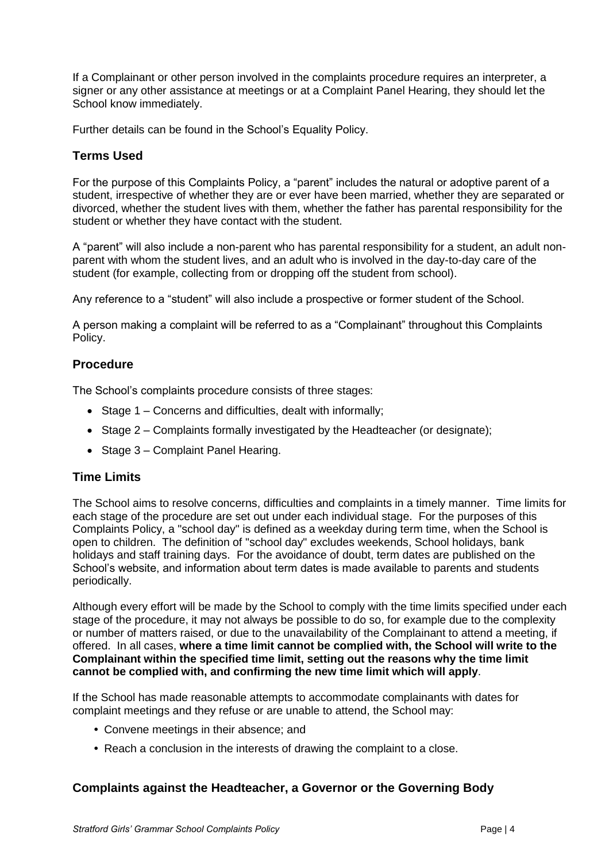If a Complainant or other person involved in the complaints procedure requires an interpreter, a signer or any other assistance at meetings or at a Complaint Panel Hearing, they should let the School know immediately.

Further details can be found in the School's Equality Policy.

### **Terms Used**

For the purpose of this Complaints Policy, a "parent" includes the natural or adoptive parent of a student, irrespective of whether they are or ever have been married, whether they are separated or divorced, whether the student lives with them, whether the father has parental responsibility for the student or whether they have contact with the student.

A "parent" will also include a non-parent who has parental responsibility for a student, an adult nonparent with whom the student lives, and an adult who is involved in the day-to-day care of the student (for example, collecting from or dropping off the student from school).

Any reference to a "student" will also include a prospective or former student of the School.

A person making a complaint will be referred to as a "Complainant" throughout this Complaints Policy.

### **Procedure**

The School's complaints procedure consists of three stages:

- Stage 1 Concerns and difficulties, dealt with informally;
- Stage 2 Complaints formally investigated by the Headteacher (or designate);
- Stage 3 Complaint Panel Hearing.

### **Time Limits**

The School aims to resolve concerns, difficulties and complaints in a timely manner. Time limits for each stage of the procedure are set out under each individual stage. For the purposes of this Complaints Policy, a "school day" is defined as a weekday during term time, when the School is open to children. The definition of "school day" excludes weekends, School holidays, bank holidays and staff training days. For the avoidance of doubt, term dates are published on the School's website, and information about term dates is made available to parents and students periodically.

Although every effort will be made by the School to comply with the time limits specified under each stage of the procedure, it may not always be possible to do so, for example due to the complexity or number of matters raised, or due to the unavailability of the Complainant to attend a meeting, if offered. In all cases, **where a time limit cannot be complied with, the School will write to the Complainant within the specified time limit, setting out the reasons why the time limit cannot be complied with, and confirming the new time limit which will apply**.

If the School has made reasonable attempts to accommodate complainants with dates for complaint meetings and they refuse or are unable to attend, the School may:

- **•** Convene meetings in their absence; and
- **•** Reach a conclusion in the interests of drawing the complaint to a close.

### **Complaints against the Headteacher, a Governor or the Governing Body**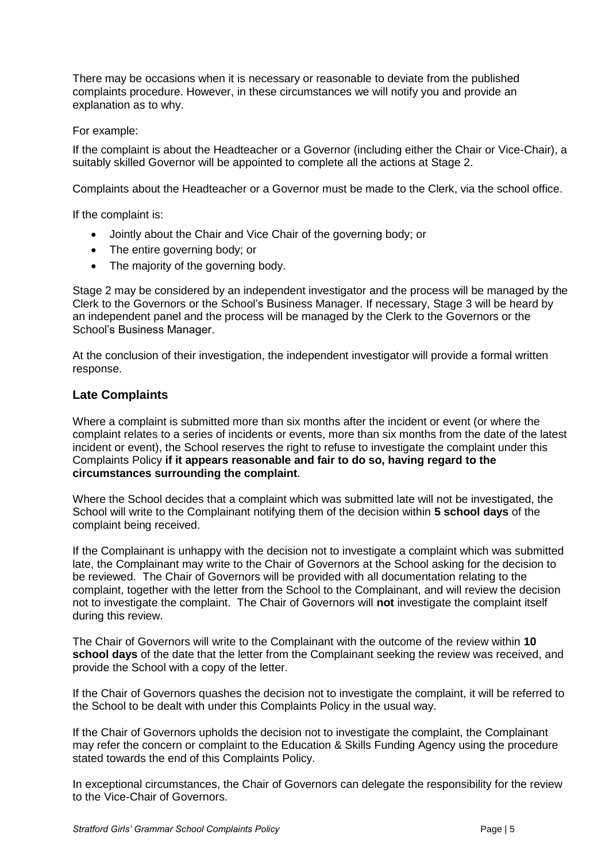There may be occasions when it is necessary or reasonable to deviate from the published complaints procedure. However, in these circumstances we will notify you and provide an explanation as to why.

### For example:

If the complaint is about the Headteacher or a Governor (including either the Chair or Vice-Chair), a suitably skilled Governor will be appointed to complete all the actions at Stage 2.

Complaints about the Headteacher or a Governor must be made to the Clerk, via the school office.

If the complaint is:

- Jointly about the Chair and Vice Chair of the governing body; or
- The entire governing body; or
- The majority of the governing body.

Stage 2 may be considered by an independent investigator and the process will be managed by the Clerk to the Governors or the School's Business Manager. If necessary, Stage 3 will be heard by an independent panel and the process will be managed by the Clerk to the Governors or the School's Business Manager.

At the conclusion of their investigation, the independent investigator will provide a formal written response.

### **Late Complaints**

Where a complaint is submitted more than six months after the incident or event (or where the complaint relates to a series of incidents or events, more than six months from the date of the latest incident or event), the School reserves the right to refuse to investigate the complaint under this Complaints Policy **if it appears reasonable and fair to do so, having regard to the circumstances surrounding the complaint**.

Where the School decides that a complaint which was submitted late will not be investigated, the School will write to the Complainant notifying them of the decision within **5 school days** of the complaint being received.

If the Complainant is unhappy with the decision not to investigate a complaint which was submitted late, the Complainant may write to the Chair of Governors at the School asking for the decision to be reviewed. The Chair of Governors will be provided with all documentation relating to the complaint, together with the letter from the School to the Complainant, and will review the decision not to investigate the complaint. The Chair of Governors will **not** investigate the complaint itself during this review.

The Chair of Governors will write to the Complainant with the outcome of the review within **10 school days** of the date that the letter from the Complainant seeking the review was received, and provide the School with a copy of the letter.

If the Chair of Governors quashes the decision not to investigate the complaint, it will be referred to the School to be dealt with under this Complaints Policy in the usual way.

If the Chair of Governors upholds the decision not to investigate the complaint, the Complainant may refer the concern or complaint to the Education & Skills Funding Agency using the procedure stated towards the end of this Complaints Policy.

In exceptional circumstances, the Chair of Governors can delegate the responsibility for the review to the Vice-Chair of Governors.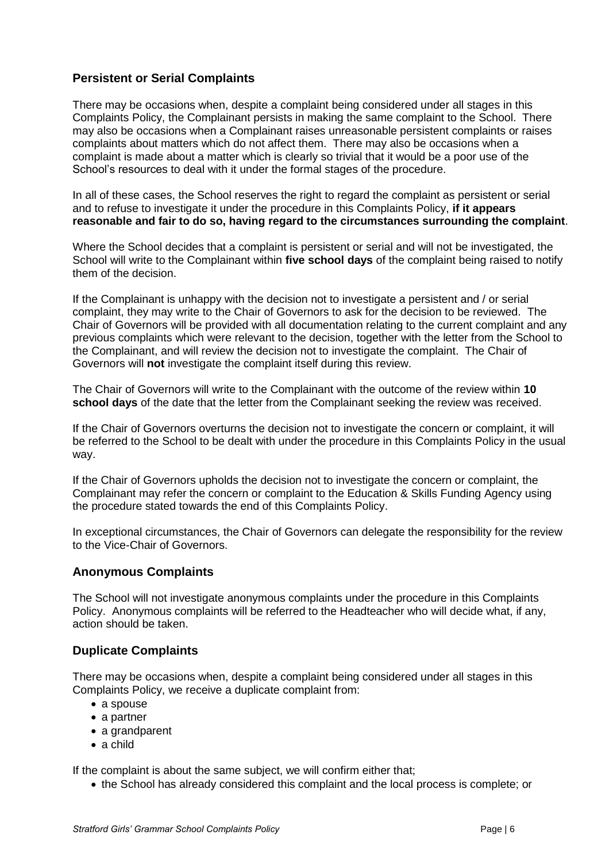### **Persistent or Serial Complaints**

There may be occasions when, despite a complaint being considered under all stages in this Complaints Policy, the Complainant persists in making the same complaint to the School. There may also be occasions when a Complainant raises unreasonable persistent complaints or raises complaints about matters which do not affect them. There may also be occasions when a complaint is made about a matter which is clearly so trivial that it would be a poor use of the School's resources to deal with it under the formal stages of the procedure.

In all of these cases, the School reserves the right to regard the complaint as persistent or serial and to refuse to investigate it under the procedure in this Complaints Policy, **if it appears reasonable and fair to do so, having regard to the circumstances surrounding the complaint**.

Where the School decides that a complaint is persistent or serial and will not be investigated, the School will write to the Complainant within **five school days** of the complaint being raised to notify them of the decision.

If the Complainant is unhappy with the decision not to investigate a persistent and / or serial complaint, they may write to the Chair of Governors to ask for the decision to be reviewed. The Chair of Governors will be provided with all documentation relating to the current complaint and any previous complaints which were relevant to the decision, together with the letter from the School to the Complainant, and will review the decision not to investigate the complaint. The Chair of Governors will **not** investigate the complaint itself during this review.

The Chair of Governors will write to the Complainant with the outcome of the review within **10 school days** of the date that the letter from the Complainant seeking the review was received.

If the Chair of Governors overturns the decision not to investigate the concern or complaint, it will be referred to the School to be dealt with under the procedure in this Complaints Policy in the usual way.

If the Chair of Governors upholds the decision not to investigate the concern or complaint, the Complainant may refer the concern or complaint to the Education & Skills Funding Agency using the procedure stated towards the end of this Complaints Policy.

In exceptional circumstances, the Chair of Governors can delegate the responsibility for the review to the Vice-Chair of Governors.

### **Anonymous Complaints**

The School will not investigate anonymous complaints under the procedure in this Complaints Policy. Anonymous complaints will be referred to the Headteacher who will decide what, if any, action should be taken.

### **Duplicate Complaints**

There may be occasions when, despite a complaint being considered under all stages in this Complaints Policy, we receive a duplicate complaint from:

- a spouse
- a partner
- a grandparent
- a child

If the complaint is about the same subject, we will confirm either that;

• the School has already considered this complaint and the local process is complete; or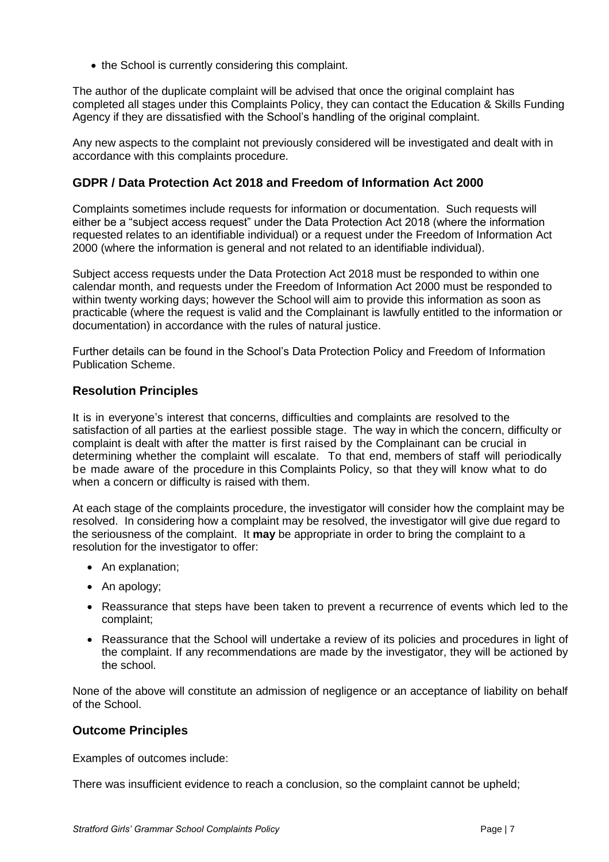• the School is currently considering this complaint.

The author of the duplicate complaint will be advised that once the original complaint has completed all stages under this Complaints Policy, they can contact the Education & Skills Funding Agency if they are dissatisfied with the School's handling of the original complaint.

Any new aspects to the complaint not previously considered will be investigated and dealt with in accordance with this complaints procedure.

### **GDPR / Data Protection Act 2018 and Freedom of Information Act 2000**

Complaints sometimes include requests for information or documentation. Such requests will either be a "subject access request" under the Data Protection Act 2018 (where the information requested relates to an identifiable individual) or a request under the Freedom of Information Act 2000 (where the information is general and not related to an identifiable individual).

Subject access requests under the Data Protection Act 2018 must be responded to within one calendar month, and requests under the Freedom of Information Act 2000 must be responded to within twenty working days; however the School will aim to provide this information as soon as practicable (where the request is valid and the Complainant is lawfully entitled to the information or documentation) in accordance with the rules of natural justice.

Further details can be found in the School's Data Protection Policy and Freedom of Information Publication Scheme.

### **Resolution Principles**

It is in everyone's interest that concerns, difficulties and complaints are resolved to the satisfaction of all parties at the earliest possible stage. The way in which the concern, difficulty or complaint is dealt with after the matter is first raised by the Complainant can be crucial in determining whether the complaint will escalate. To that end, members of staff will periodically be made aware of the procedure in this Complaints Policy, so that they will know what to do when a concern or difficulty is raised with them.

At each stage of the complaints procedure, the investigator will consider how the complaint may be resolved. In considering how a complaint may be resolved, the investigator will give due regard to the seriousness of the complaint. It **may** be appropriate in order to bring the complaint to a resolution for the investigator to offer:

- An explanation;
- An apology;
- Reassurance that steps have been taken to prevent a recurrence of events which led to the complaint;
- Reassurance that the School will undertake a review of its policies and procedures in light of the complaint. If any recommendations are made by the investigator, they will be actioned by the school.

None of the above will constitute an admission of negligence or an acceptance of liability on behalf of the School.

### **Outcome Principles**

Examples of outcomes include:

There was insufficient evidence to reach a conclusion, so the complaint cannot be upheld;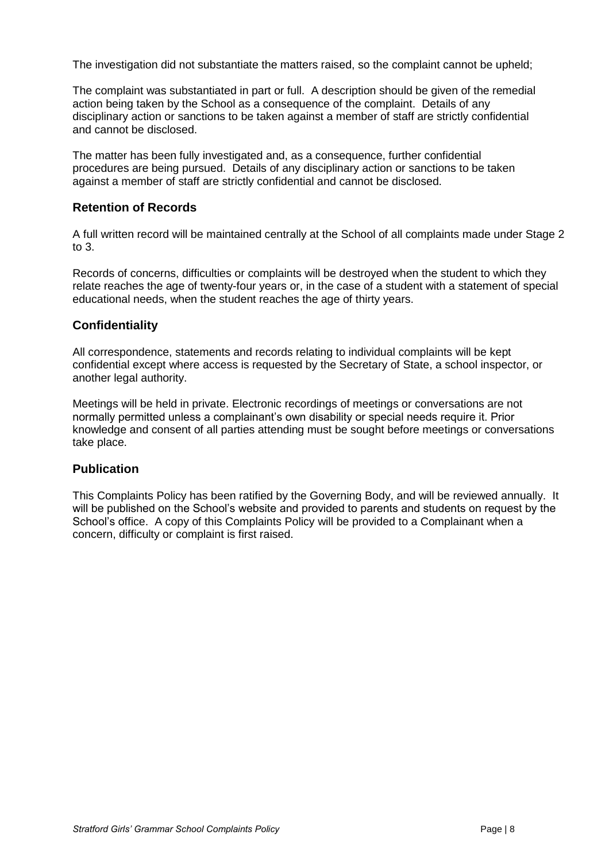The investigation did not substantiate the matters raised, so the complaint cannot be upheld;

The complaint was substantiated in part or full. A description should be given of the remedial action being taken by the School as a consequence of the complaint. Details of any disciplinary action or sanctions to be taken against a member of staff are strictly confidential and cannot be disclosed.

The matter has been fully investigated and, as a consequence, further confidential procedures are being pursued. Details of any disciplinary action or sanctions to be taken against a member of staff are strictly confidential and cannot be disclosed.

### **Retention of Records**

A full written record will be maintained centrally at the School of all complaints made under Stage 2 to 3.

Records of concerns, difficulties or complaints will be destroyed when the student to which they relate reaches the age of twenty-four years or, in the case of a student with a statement of special educational needs, when the student reaches the age of thirty years.

### **Confidentiality**

All correspondence, statements and records relating to individual complaints will be kept confidential except where access is requested by the Secretary of State, a school inspector, or another legal authority.

Meetings will be held in private. Electronic recordings of meetings or conversations are not normally permitted unless a complainant's own disability or special needs require it. Prior knowledge and consent of all parties attending must be sought before meetings or conversations take place.

### **Publication**

This Complaints Policy has been ratified by the Governing Body, and will be reviewed annually. It will be published on the School's website and provided to parents and students on request by the School's office. A copy of this Complaints Policy will be provided to a Complainant when a concern, difficulty or complaint is first raised.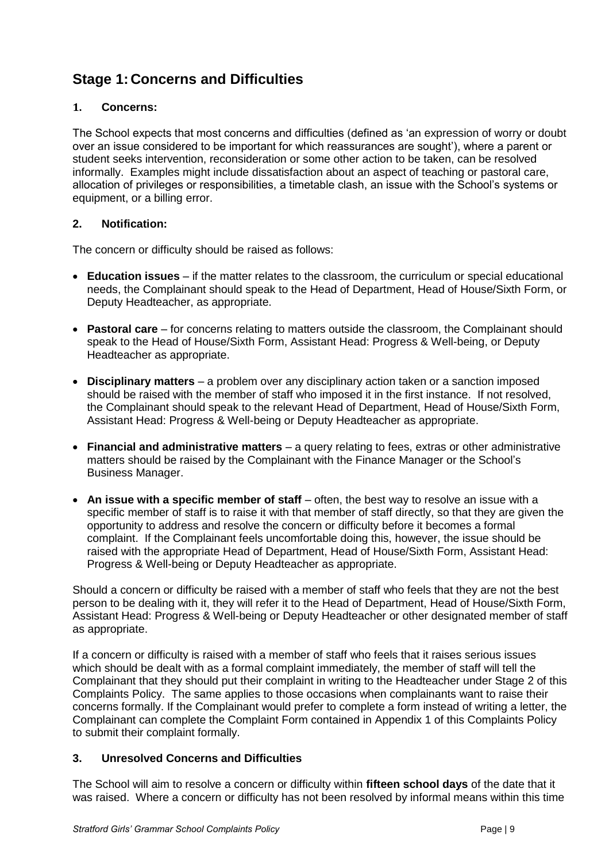## **Stage 1: Concerns and Difficulties**

### **1. Concerns:**

The School expects that most concerns and difficulties (defined as 'an expression of worry or doubt over an issue considered to be important for which reassurances are sought'), where a parent or student seeks intervention, reconsideration or some other action to be taken, can be resolved informally. Examples might include dissatisfaction about an aspect of teaching or pastoral care, allocation of privileges or responsibilities, a timetable clash, an issue with the School's systems or equipment, or a billing error.

### **2. Notification:**

The concern or difficulty should be raised as follows:

- **Education issues**  if the matter relates to the classroom, the curriculum or special educational needs, the Complainant should speak to the Head of Department, Head of House/Sixth Form, or Deputy Headteacher, as appropriate.
- **Pastoral care**  for concerns relating to matters outside the classroom, the Complainant should speak to the Head of House/Sixth Form, Assistant Head: Progress & Well-being, or Deputy Headteacher as appropriate.
- **Disciplinary matters**  a problem over any disciplinary action taken or a sanction imposed should be raised with the member of staff who imposed it in the first instance. If not resolved, the Complainant should speak to the relevant Head of Department, Head of House/Sixth Form, Assistant Head: Progress & Well-being or Deputy Headteacher as appropriate.
- **Financial and administrative matters**  a query relating to fees, extras or other administrative matters should be raised by the Complainant with the Finance Manager or the School's Business Manager.
- **An issue with a specific member of staff** often, the best way to resolve an issue with a specific member of staff is to raise it with that member of staff directly, so that they are given the opportunity to address and resolve the concern or difficulty before it becomes a formal complaint. If the Complainant feels uncomfortable doing this, however, the issue should be raised with the appropriate Head of Department, Head of House/Sixth Form, Assistant Head: Progress & Well-being or Deputy Headteacher as appropriate.

Should a concern or difficulty be raised with a member of staff who feels that they are not the best person to be dealing with it, they will refer it to the Head of Department, Head of House/Sixth Form, Assistant Head: Progress & Well-being or Deputy Headteacher or other designated member of staff as appropriate.

If a concern or difficulty is raised with a member of staff who feels that it raises serious issues which should be dealt with as a formal complaint immediately, the member of staff will tell the Complainant that they should put their complaint in writing to the Headteacher under Stage 2 of this Complaints Policy. The same applies to those occasions when complainants want to raise their concerns formally. If the Complainant would prefer to complete a form instead of writing a letter, the Complainant can complete the Complaint Form contained in Appendix 1 of this Complaints Policy to submit their complaint formally.

### **3. Unresolved Concerns and Difficulties**

The School will aim to resolve a concern or difficulty within **fifteen school days** of the date that it was raised. Where a concern or difficulty has not been resolved by informal means within this time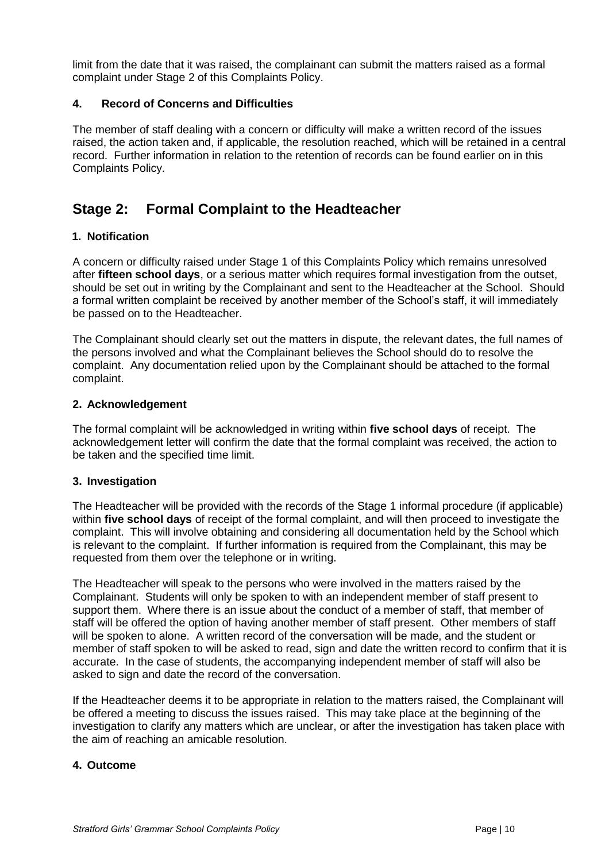limit from the date that it was raised, the complainant can submit the matters raised as a formal complaint under Stage 2 of this Complaints Policy.

### **4. Record of Concerns and Difficulties**

The member of staff dealing with a concern or difficulty will make a written record of the issues raised, the action taken and, if applicable, the resolution reached, which will be retained in a central record. Further information in relation to the retention of records can be found earlier on in this Complaints Policy.

### **Stage 2: Formal Complaint to the Headteacher**

### **1. Notification**

A concern or difficulty raised under Stage 1 of this Complaints Policy which remains unresolved after **fifteen school days**, or a serious matter which requires formal investigation from the outset, should be set out in writing by the Complainant and sent to the Headteacher at the School. Should a formal written complaint be received by another member of the School's staff, it will immediately be passed on to the Headteacher.

The Complainant should clearly set out the matters in dispute, the relevant dates, the full names of the persons involved and what the Complainant believes the School should do to resolve the complaint. Any documentation relied upon by the Complainant should be attached to the formal complaint.

### **2. Acknowledgement**

The formal complaint will be acknowledged in writing within **five school days** of receipt. The acknowledgement letter will confirm the date that the formal complaint was received, the action to be taken and the specified time limit.

### **3. Investigation**

The Headteacher will be provided with the records of the Stage 1 informal procedure (if applicable) within **five school days** of receipt of the formal complaint, and will then proceed to investigate the complaint. This will involve obtaining and considering all documentation held by the School which is relevant to the complaint. If further information is required from the Complainant, this may be requested from them over the telephone or in writing.

The Headteacher will speak to the persons who were involved in the matters raised by the Complainant. Students will only be spoken to with an independent member of staff present to support them. Where there is an issue about the conduct of a member of staff, that member of staff will be offered the option of having another member of staff present. Other members of staff will be spoken to alone. A written record of the conversation will be made, and the student or member of staff spoken to will be asked to read, sign and date the written record to confirm that it is accurate. In the case of students, the accompanying independent member of staff will also be asked to sign and date the record of the conversation.

If the Headteacher deems it to be appropriate in relation to the matters raised, the Complainant will be offered a meeting to discuss the issues raised. This may take place at the beginning of the investigation to clarify any matters which are unclear, or after the investigation has taken place with the aim of reaching an amicable resolution.

### **4. Outcome**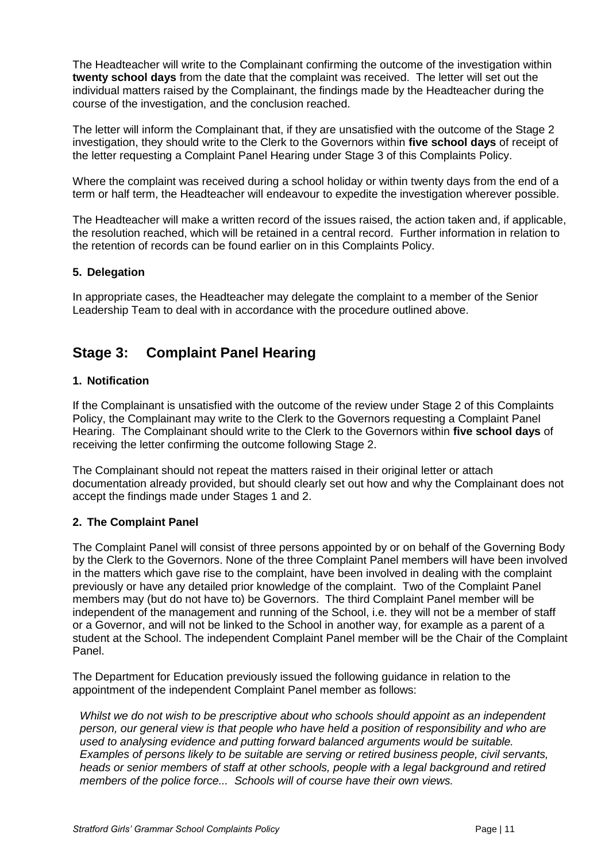The Headteacher will write to the Complainant confirming the outcome of the investigation within **twenty school days** from the date that the complaint was received. The letter will set out the individual matters raised by the Complainant, the findings made by the Headteacher during the course of the investigation, and the conclusion reached.

The letter will inform the Complainant that, if they are unsatisfied with the outcome of the Stage 2 investigation, they should write to the Clerk to the Governors within **five school days** of receipt of the letter requesting a Complaint Panel Hearing under Stage 3 of this Complaints Policy.

Where the complaint was received during a school holiday or within twenty days from the end of a term or half term, the Headteacher will endeavour to expedite the investigation wherever possible.

The Headteacher will make a written record of the issues raised, the action taken and, if applicable, the resolution reached, which will be retained in a central record. Further information in relation to the retention of records can be found earlier on in this Complaints Policy.

### **5. Delegation**

In appropriate cases, the Headteacher may delegate the complaint to a member of the Senior Leadership Team to deal with in accordance with the procedure outlined above.

### **Stage 3: Complaint Panel Hearing**

### **1. Notification**

If the Complainant is unsatisfied with the outcome of the review under Stage 2 of this Complaints Policy, the Complainant may write to the Clerk to the Governors requesting a Complaint Panel Hearing. The Complainant should write to the Clerk to the Governors within **five school days** of receiving the letter confirming the outcome following Stage 2.

The Complainant should not repeat the matters raised in their original letter or attach documentation already provided, but should clearly set out how and why the Complainant does not accept the findings made under Stages 1 and 2.

### **2. The Complaint Panel**

The Complaint Panel will consist of three persons appointed by or on behalf of the Governing Body by the Clerk to the Governors. None of the three Complaint Panel members will have been involved in the matters which gave rise to the complaint, have been involved in dealing with the complaint previously or have any detailed prior knowledge of the complaint. Two of the Complaint Panel members may (but do not have to) be Governors. The third Complaint Panel member will be independent of the management and running of the School, i.e. they will not be a member of staff or a Governor, and will not be linked to the School in another way, for example as a parent of a student at the School. The independent Complaint Panel member will be the Chair of the Complaint Panel.

The Department for Education previously issued the following guidance in relation to the appointment of the independent Complaint Panel member as follows:

*Whilst we do not wish to be prescriptive about who schools should appoint as an independent person, our general view is that people who have held a position of responsibility and who are used to analysing evidence and putting forward balanced arguments would be suitable. Examples of persons likely to be suitable are serving or retired business people, civil servants, heads or senior members of staff at other schools, people with a legal background and retired members of the police force... Schools will of course have their own views.*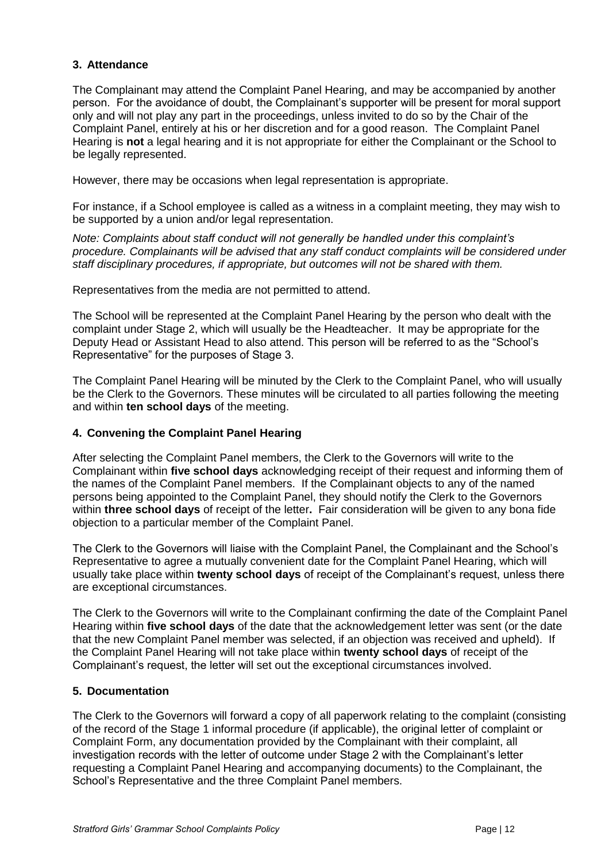### **3. Attendance**

The Complainant may attend the Complaint Panel Hearing, and may be accompanied by another person. For the avoidance of doubt, the Complainant's supporter will be present for moral support only and will not play any part in the proceedings, unless invited to do so by the Chair of the Complaint Panel, entirely at his or her discretion and for a good reason. The Complaint Panel Hearing is **not** a legal hearing and it is not appropriate for either the Complainant or the School to be legally represented.

However, there may be occasions when legal representation is appropriate.

For instance, if a School employee is called as a witness in a complaint meeting, they may wish to be supported by a union and/or legal representation.

*Note: Complaints about staff conduct will not generally be handled under this complaint's procedure. Complainants will be advised that any staff conduct complaints will be considered under staff disciplinary procedures, if appropriate, but outcomes will not be shared with them.* 

Representatives from the media are not permitted to attend.

The School will be represented at the Complaint Panel Hearing by the person who dealt with the complaint under Stage 2, which will usually be the Headteacher. It may be appropriate for the Deputy Head or Assistant Head to also attend. This person will be referred to as the "School's Representative" for the purposes of Stage 3.

The Complaint Panel Hearing will be minuted by the Clerk to the Complaint Panel, who will usually be the Clerk to the Governors. These minutes will be circulated to all parties following the meeting and within **ten school days** of the meeting.

### **4. Convening the Complaint Panel Hearing**

After selecting the Complaint Panel members, the Clerk to the Governors will write to the Complainant within **five school days** acknowledging receipt of their request and informing them of the names of the Complaint Panel members. If the Complainant objects to any of the named persons being appointed to the Complaint Panel, they should notify the Clerk to the Governors within **three school days** of receipt of the letter**.** Fair consideration will be given to any bona fide objection to a particular member of the Complaint Panel.

The Clerk to the Governors will liaise with the Complaint Panel, the Complainant and the School's Representative to agree a mutually convenient date for the Complaint Panel Hearing, which will usually take place within **twenty school days** of receipt of the Complainant's request, unless there are exceptional circumstances.

The Clerk to the Governors will write to the Complainant confirming the date of the Complaint Panel Hearing within **five school days** of the date that the acknowledgement letter was sent (or the date that the new Complaint Panel member was selected, if an objection was received and upheld). If the Complaint Panel Hearing will not take place within **twenty school days** of receipt of the Complainant's request, the letter will set out the exceptional circumstances involved.

### **5. Documentation**

The Clerk to the Governors will forward a copy of all paperwork relating to the complaint (consisting of the record of the Stage 1 informal procedure (if applicable), the original letter of complaint or Complaint Form, any documentation provided by the Complainant with their complaint, all investigation records with the letter of outcome under Stage 2 with the Complainant's letter requesting a Complaint Panel Hearing and accompanying documents) to the Complainant, the School's Representative and the three Complaint Panel members.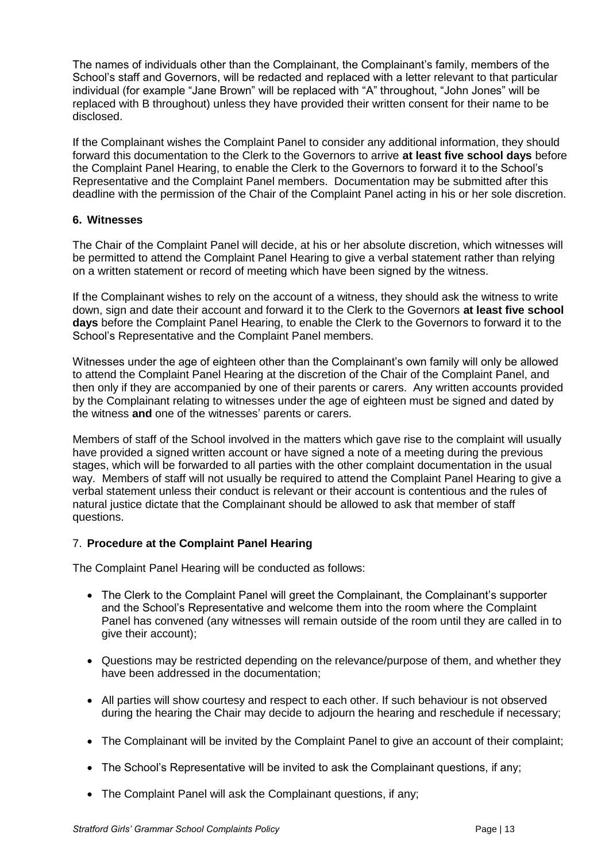The names of individuals other than the Complainant, the Complainant's family, members of the School's staff and Governors, will be redacted and replaced with a letter relevant to that particular individual (for example "Jane Brown" will be replaced with "A" throughout, "John Jones" will be replaced with B throughout) unless they have provided their written consent for their name to be disclosed.

If the Complainant wishes the Complaint Panel to consider any additional information, they should forward this documentation to the Clerk to the Governors to arrive **at least five school days** before the Complaint Panel Hearing, to enable the Clerk to the Governors to forward it to the School's Representative and the Complaint Panel members. Documentation may be submitted after this deadline with the permission of the Chair of the Complaint Panel acting in his or her sole discretion.

### **6. Witnesses**

The Chair of the Complaint Panel will decide, at his or her absolute discretion, which witnesses will be permitted to attend the Complaint Panel Hearing to give a verbal statement rather than relying on a written statement or record of meeting which have been signed by the witness.

If the Complainant wishes to rely on the account of a witness, they should ask the witness to write down, sign and date their account and forward it to the Clerk to the Governors **at least five school days** before the Complaint Panel Hearing, to enable the Clerk to the Governors to forward it to the School's Representative and the Complaint Panel members.

Witnesses under the age of eighteen other than the Complainant's own family will only be allowed to attend the Complaint Panel Hearing at the discretion of the Chair of the Complaint Panel, and then only if they are accompanied by one of their parents or carers. Any written accounts provided by the Complainant relating to witnesses under the age of eighteen must be signed and dated by the witness **and** one of the witnesses' parents or carers.

Members of staff of the School involved in the matters which gave rise to the complaint will usually have provided a signed written account or have signed a note of a meeting during the previous stages, which will be forwarded to all parties with the other complaint documentation in the usual way. Members of staff will not usually be required to attend the Complaint Panel Hearing to give a verbal statement unless their conduct is relevant or their account is contentious and the rules of natural justice dictate that the Complainant should be allowed to ask that member of staff questions.

### 7. **Procedure at the Complaint Panel Hearing**

The Complaint Panel Hearing will be conducted as follows:

- The Clerk to the Complaint Panel will greet the Complainant, the Complainant's supporter and the School's Representative and welcome them into the room where the Complaint Panel has convened (any witnesses will remain outside of the room until they are called in to give their account);
- Questions may be restricted depending on the relevance/purpose of them, and whether they have been addressed in the documentation;
- All parties will show courtesy and respect to each other. If such behaviour is not observed during the hearing the Chair may decide to adjourn the hearing and reschedule if necessary;
- The Complainant will be invited by the Complaint Panel to give an account of their complaint;
- The School's Representative will be invited to ask the Complainant questions, if any;
- The Complaint Panel will ask the Complainant questions, if any;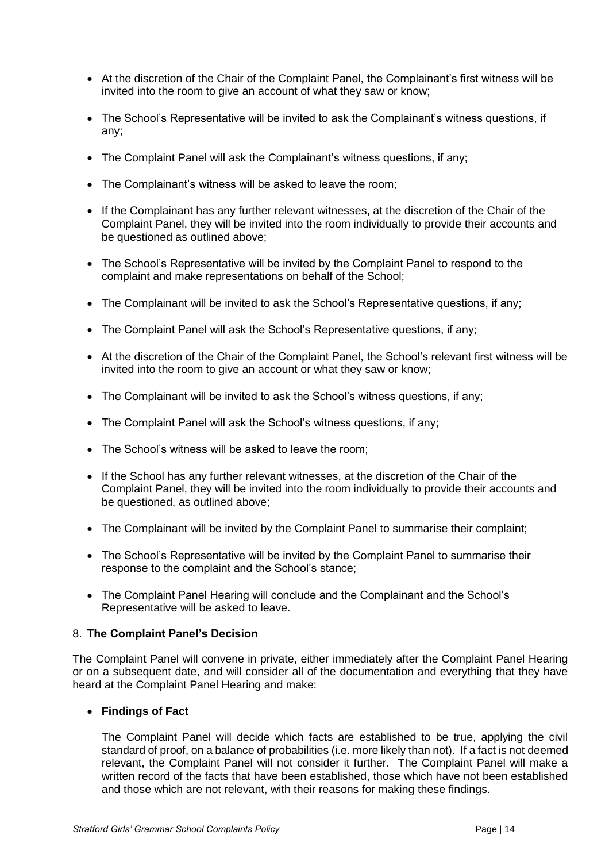- At the discretion of the Chair of the Complaint Panel, the Complainant's first witness will be invited into the room to give an account of what they saw or know;
- The School's Representative will be invited to ask the Complainant's witness questions, if any;
- The Complaint Panel will ask the Complainant's witness questions, if any;
- The Complainant's witness will be asked to leave the room;
- If the Complainant has any further relevant witnesses, at the discretion of the Chair of the Complaint Panel, they will be invited into the room individually to provide their accounts and be questioned as outlined above;
- The School's Representative will be invited by the Complaint Panel to respond to the complaint and make representations on behalf of the School;
- The Complainant will be invited to ask the School's Representative questions, if any;
- The Complaint Panel will ask the School's Representative questions, if any;
- At the discretion of the Chair of the Complaint Panel, the School's relevant first witness will be invited into the room to give an account or what they saw or know;
- The Complainant will be invited to ask the School's witness questions, if any;
- The Complaint Panel will ask the School's witness questions, if any;
- The School's witness will be asked to leave the room;
- If the School has any further relevant witnesses, at the discretion of the Chair of the Complaint Panel, they will be invited into the room individually to provide their accounts and be questioned, as outlined above;
- The Complainant will be invited by the Complaint Panel to summarise their complaint;
- The School's Representative will be invited by the Complaint Panel to summarise their response to the complaint and the School's stance;
- The Complaint Panel Hearing will conclude and the Complainant and the School's Representative will be asked to leave.

### 8. **The Complaint Panel's Decision**

The Complaint Panel will convene in private, either immediately after the Complaint Panel Hearing or on a subsequent date, and will consider all of the documentation and everything that they have heard at the Complaint Panel Hearing and make:

### • **Findings of Fact**

The Complaint Panel will decide which facts are established to be true, applying the civil standard of proof, on a balance of probabilities (i.e. more likely than not). If a fact is not deemed relevant, the Complaint Panel will not consider it further. The Complaint Panel will make a written record of the facts that have been established, those which have not been established and those which are not relevant, with their reasons for making these findings.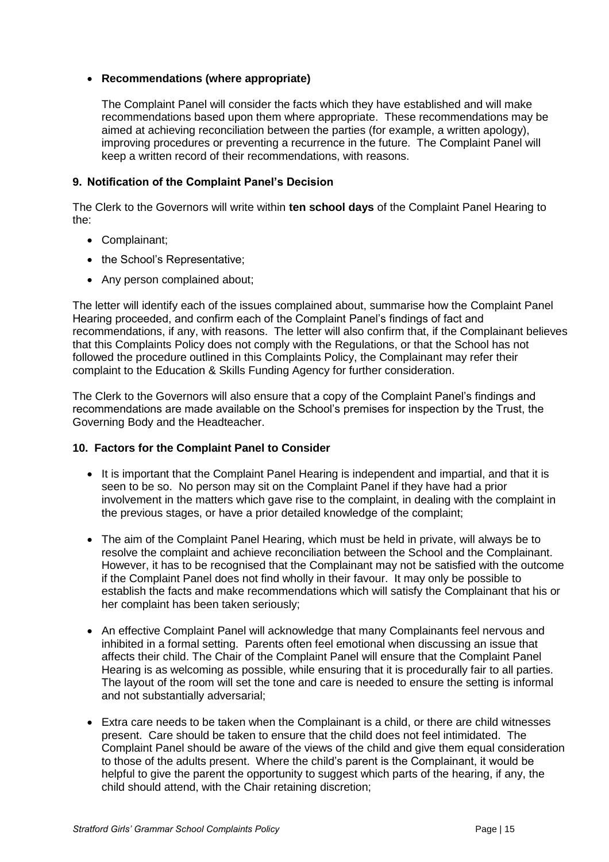### • **Recommendations (where appropriate)**

The Complaint Panel will consider the facts which they have established and will make recommendations based upon them where appropriate. These recommendations may be aimed at achieving reconciliation between the parties (for example, a written apology), improving procedures or preventing a recurrence in the future. The Complaint Panel will keep a written record of their recommendations, with reasons.

### **9. Notification of the Complaint Panel's Decision**

The Clerk to the Governors will write within **ten school days** of the Complaint Panel Hearing to the:

- Complainant;
- the School's Representative;
- Any person complained about;

The letter will identify each of the issues complained about, summarise how the Complaint Panel Hearing proceeded, and confirm each of the Complaint Panel's findings of fact and recommendations, if any, with reasons. The letter will also confirm that, if the Complainant believes that this Complaints Policy does not comply with the Regulations, or that the School has not followed the procedure outlined in this Complaints Policy, the Complainant may refer their complaint to the Education & Skills Funding Agency for further consideration.

The Clerk to the Governors will also ensure that a copy of the Complaint Panel's findings and recommendations are made available on the School's premises for inspection by the Trust, the Governing Body and the Headteacher.

### **10. Factors for the Complaint Panel to Consider**

- It is important that the Complaint Panel Hearing is independent and impartial, and that it is seen to be so. No person may sit on the Complaint Panel if they have had a prior involvement in the matters which gave rise to the complaint, in dealing with the complaint in the previous stages, or have a prior detailed knowledge of the complaint;
- The aim of the Complaint Panel Hearing, which must be held in private, will always be to resolve the complaint and achieve reconciliation between the School and the Complainant. However, it has to be recognised that the Complainant may not be satisfied with the outcome if the Complaint Panel does not find wholly in their favour. It may only be possible to establish the facts and make recommendations which will satisfy the Complainant that his or her complaint has been taken seriously;
- An effective Complaint Panel will acknowledge that many Complainants feel nervous and inhibited in a formal setting. Parents often feel emotional when discussing an issue that affects their child. The Chair of the Complaint Panel will ensure that the Complaint Panel Hearing is as welcoming as possible, while ensuring that it is procedurally fair to all parties. The layout of the room will set the tone and care is needed to ensure the setting is informal and not substantially adversarial;
- Extra care needs to be taken when the Complainant is a child, or there are child witnesses present. Care should be taken to ensure that the child does not feel intimidated. The Complaint Panel should be aware of the views of the child and give them equal consideration to those of the adults present. Where the child's parent is the Complainant, it would be helpful to give the parent the opportunity to suggest which parts of the hearing, if any, the child should attend, with the Chair retaining discretion;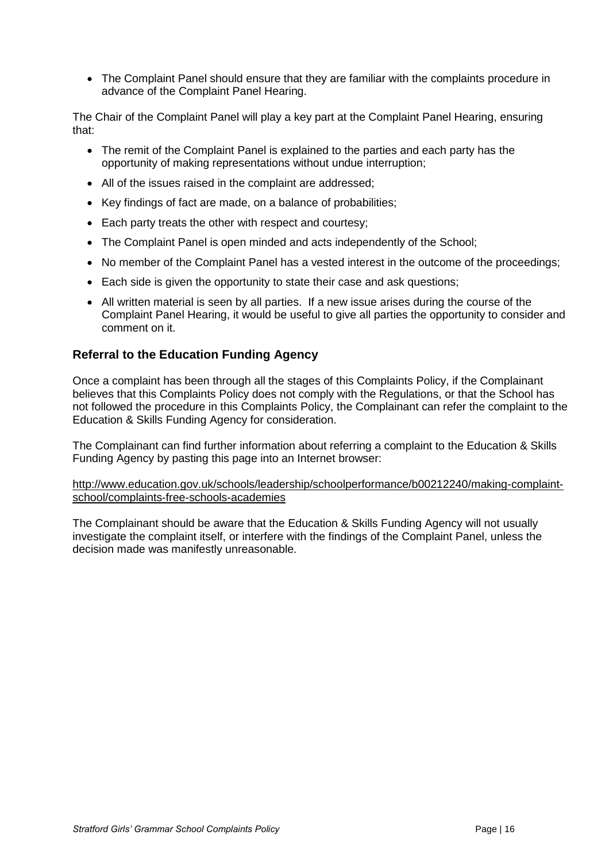• The Complaint Panel should ensure that they are familiar with the complaints procedure in advance of the Complaint Panel Hearing.

The Chair of the Complaint Panel will play a key part at the Complaint Panel Hearing, ensuring that:

- The remit of the Complaint Panel is explained to the parties and each party has the opportunity of making representations without undue interruption;
- All of the issues raised in the complaint are addressed:
- Key findings of fact are made, on a balance of probabilities;
- Each party treats the other with respect and courtesy;
- The Complaint Panel is open minded and acts independently of the School;
- No member of the Complaint Panel has a vested interest in the outcome of the proceedings;
- Each side is given the opportunity to state their case and ask questions;
- All written material is seen by all parties. If a new issue arises during the course of the Complaint Panel Hearing, it would be useful to give all parties the opportunity to consider and comment on it.

### **Referral to the Education Funding Agency**

Once a complaint has been through all the stages of this Complaints Policy, if the Complainant believes that this Complaints Policy does not comply with the Regulations, or that the School has not followed the procedure in this Complaints Policy, the Complainant can refer the complaint to the Education & Skills Funding Agency for consideration.

The Complainant can find further information about referring a complaint to the Education & Skills Funding Agency by pasting this page into an Internet browser:

[http://www.education.gov.uk/schools/leadership/schoolperformance/b00212240/making-complaint](http://www.education.gov.uk/schools/leadership/schoolperformance/b00212240/making-complaint-school/complaints-free-schools-academies)[school/complaints-free-schools-academies](http://www.education.gov.uk/schools/leadership/schoolperformance/b00212240/making-complaint-school/complaints-free-schools-academies)

The Complainant should be aware that the Education & Skills Funding Agency will not usually investigate the complaint itself, or interfere with the findings of the Complaint Panel, unless the decision made was manifestly unreasonable.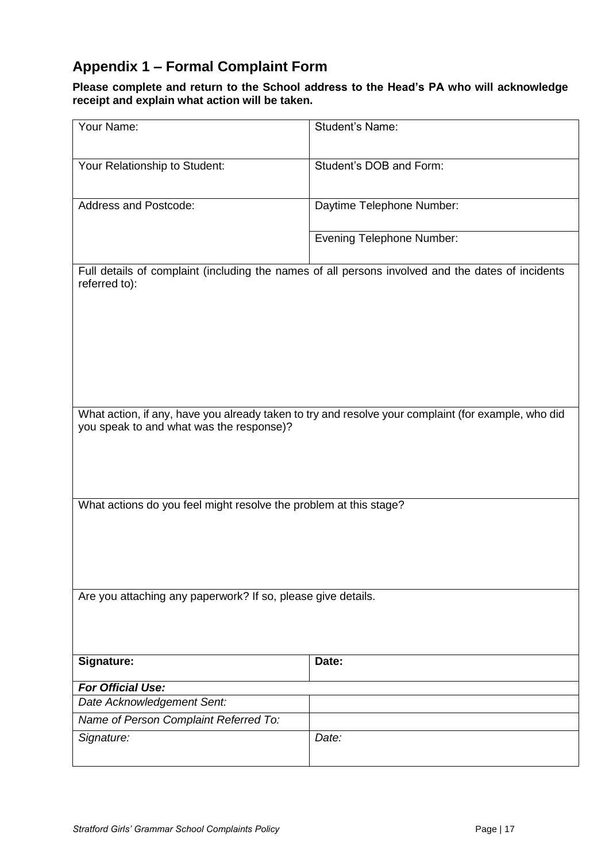# **Appendix 1 – Formal Complaint Form**

**Please complete and return to the School address to the Head's PA who will acknowledge receipt and explain what action will be taken.**

| Your Name:                                                                                                                                      | <b>Student's Name:</b>           |  |
|-------------------------------------------------------------------------------------------------------------------------------------------------|----------------------------------|--|
| Your Relationship to Student:                                                                                                                   | Student's DOB and Form:          |  |
| <b>Address and Postcode:</b>                                                                                                                    | Daytime Telephone Number:        |  |
|                                                                                                                                                 | <b>Evening Telephone Number:</b> |  |
| Full details of complaint (including the names of all persons involved and the dates of incidents<br>referred to):                              |                                  |  |
| What action, if any, have you already taken to try and resolve your complaint (for example, who did<br>you speak to and what was the response)? |                                  |  |
| What actions do you feel might resolve the problem at this stage?                                                                               |                                  |  |
| Are you attaching any paperwork? If so, please give details.                                                                                    |                                  |  |
| Signature:                                                                                                                                      | Date:                            |  |
| <b>For Official Use:</b>                                                                                                                        |                                  |  |
| Date Acknowledgement Sent:                                                                                                                      |                                  |  |
| Name of Person Complaint Referred To:                                                                                                           |                                  |  |
| Signature:                                                                                                                                      | Date:                            |  |